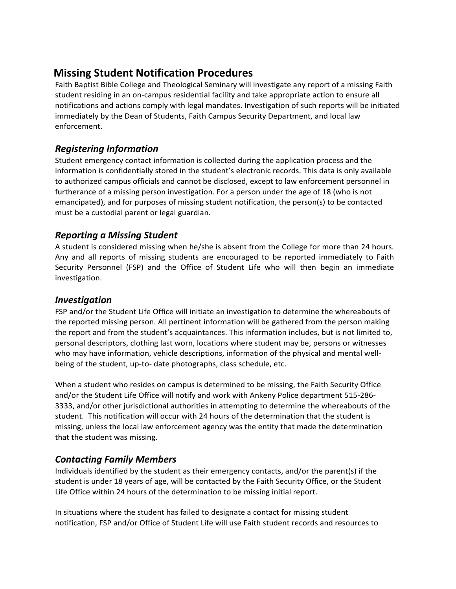# **Missing Student Notification Procedures**

Faith Baptist Bible College and Theological Seminary will investigate any report of a missing Faith student residing in an on-campus residential facility and take appropriate action to ensure all notifications and actions comply with legal mandates. Investigation of such reports will be initiated immediately by the Dean of Students, Faith Campus Security Department, and local law enforcement.

## *Registering Information*

Student emergency contact information is collected during the application process and the information is confidentially stored in the student's electronic records. This data is only available to authorized campus officials and cannot be disclosed, except to law enforcement personnel in furtherance of a missing person investigation. For a person under the age of 18 (who is not emancipated), and for purposes of missing student notification, the person(s) to be contacted must be a custodial parent or legal guardian.

## *Reporting a Missing Student*

A student is considered missing when he/she is absent from the College for more than 24 hours. Any and all reports of missing students are encouraged to be reported immediately to Faith Security Personnel (FSP) and the Office of Student Life who will then begin an immediate investigation.

#### *Investigation*

FSP and/or the Student Life Office will initiate an investigation to determine the whereabouts of the reported missing person. All pertinent information will be gathered from the person making the report and from the student's acquaintances. This information includes, but is not limited to, personal descriptors, clothing last worn, locations where student may be, persons or witnesses who may have information, vehicle descriptions, information of the physical and mental wellbeing of the student, up-to- date photographs, class schedule, etc.

When a student who resides on campus is determined to be missing, the Faith Security Office and/or the Student Life Office will notify and work with Ankeny Police department 515-286- 3333, and/or other jurisdictional authorities in attempting to determine the whereabouts of the student. This notification will occur with 24 hours of the determination that the student is missing, unless the local law enforcement agency was the entity that made the determination that the student was missing.

## *Contacting Family Members*

Individuals identified by the student as their emergency contacts, and/or the parent(s) if the student is under 18 years of age, will be contacted by the Faith Security Office, or the Student Life Office within 24 hours of the determination to be missing initial report.

In situations where the student has failed to designate a contact for missing student notification, FSP and/or Office of Student Life will use Faith student records and resources to